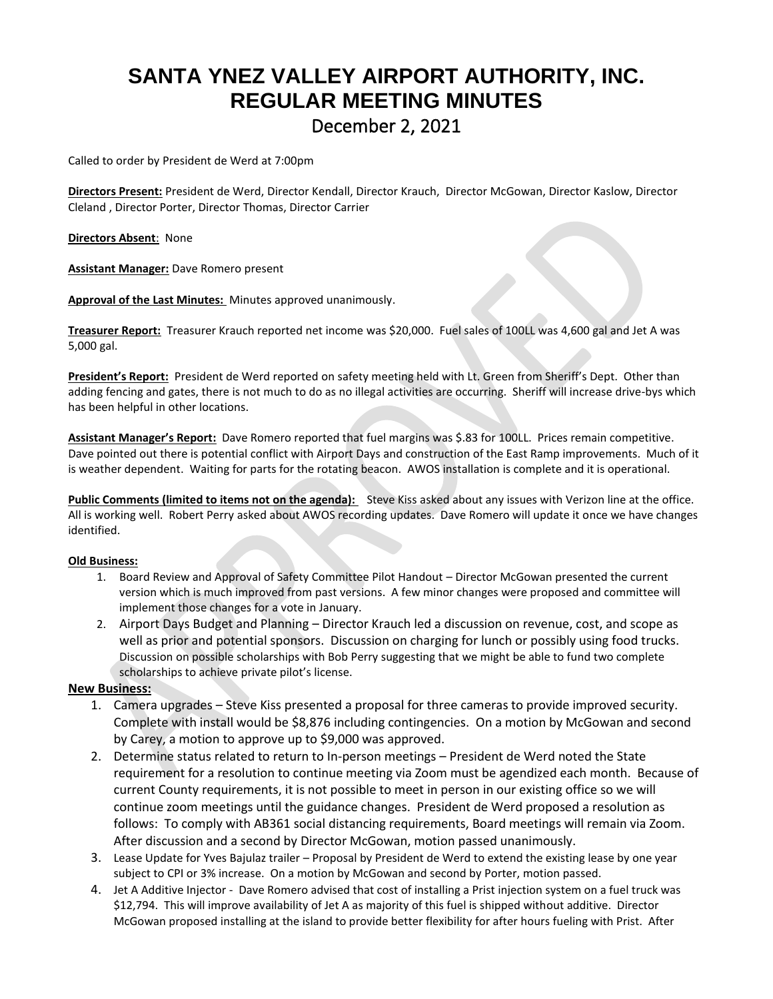## **SANTA YNEZ VALLEY AIRPORT AUTHORITY, INC. REGULAR MEETING MINUTES** December 2, 2021

Called to order by President de Werd at 7:00pm

**Directors Present:** President de Werd, Director Kendall, Director Krauch, Director McGowan, Director Kaslow, Director Cleland , Director Porter, Director Thomas, Director Carrier

**Directors Absent**: None

**Assistant Manager:** Dave Romero present

**Approval of the Last Minutes:** Minutes approved unanimously.

**Treasurer Report:** Treasurer Krauch reported net income was \$20,000. Fuel sales of 100LL was 4,600 gal and Jet A was 5,000 gal.

**President's Report:** President de Werd reported on safety meeting held with Lt. Green from Sheriff's Dept. Other than adding fencing and gates, there is not much to do as no illegal activities are occurring. Sheriff will increase drive-bys which has been helpful in other locations.

**Assistant Manager's Report:** Dave Romero reported that fuel margins was \$.83 for 100LL. Prices remain competitive. Dave pointed out there is potential conflict with Airport Days and construction of the East Ramp improvements. Much of it is weather dependent. Waiting for parts for the rotating beacon. AWOS installation is complete and it is operational.

**Public Comments (limited to items not on the agenda):** Steve Kiss asked about any issues with Verizon line at the office. All is working well. Robert Perry asked about AWOS recording updates. Dave Romero will update it once we have changes identified.

## **Old Business:**

- 1. Board Review and Approval of Safety Committee Pilot Handout Director McGowan presented the current version which is much improved from past versions. A few minor changes were proposed and committee will implement those changes for a vote in January.
- 2. Airport Days Budget and Planning Director Krauch led a discussion on revenue, cost, and scope as well as prior and potential sponsors. Discussion on charging for lunch or possibly using food trucks. Discussion on possible scholarships with Bob Perry suggesting that we might be able to fund two complete scholarships to achieve private pilot's license.

## **New Business:**

- 1. Camera upgrades Steve Kiss presented a proposal for three cameras to provide improved security. Complete with install would be \$8,876 including contingencies. On a motion by McGowan and second by Carey, a motion to approve up to \$9,000 was approved.
- 2. Determine status related to return to In-person meetings President de Werd noted the State requirement for a resolution to continue meeting via Zoom must be agendized each month. Because of current County requirements, it is not possible to meet in person in our existing office so we will continue zoom meetings until the guidance changes. President de Werd proposed a resolution as follows: To comply with AB361 social distancing requirements, Board meetings will remain via Zoom. After discussion and a second by Director McGowan, motion passed unanimously.
- 3. Lease Update for Yves Bajulaz trailer Proposal by President de Werd to extend the existing lease by one year subject to CPI or 3% increase. On a motion by McGowan and second by Porter, motion passed.
- 4. Jet A Additive Injector Dave Romero advised that cost of installing a Prist injection system on a fuel truck was \$12,794. This will improve availability of Jet A as majority of this fuel is shipped without additive. Director McGowan proposed installing at the island to provide better flexibility for after hours fueling with Prist. After